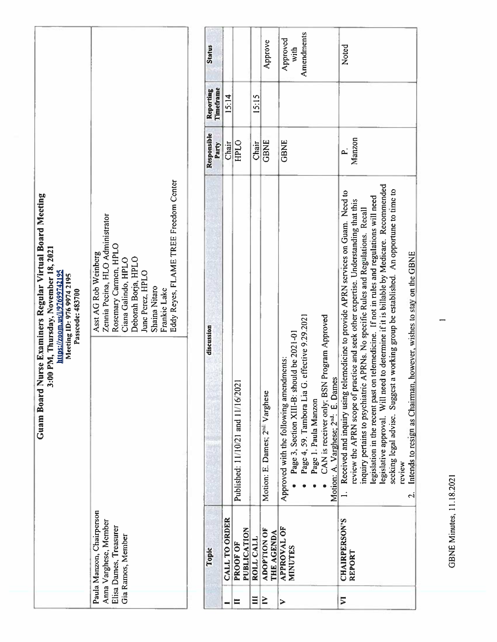**GBNE Minutes, 11.18.2021** GBNE Minutes, 11.18.2021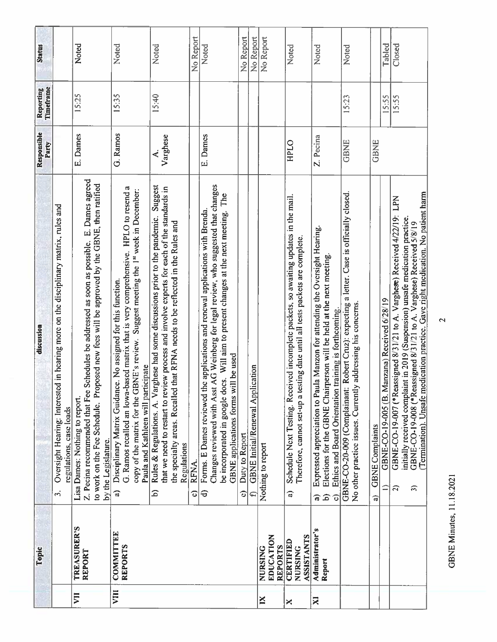| Status                 |                                                                                                                                        | Noted                                                                                                                                                                                                                                                | Noted                                                                                                                                                                                                                                                                                              | Noted                                                                                                                                                                                                                                                                                       | No Report  | Noted                                                                                                                                                                                                                                                                                                     | No Report                             | No Report                                    | No Report                              | Noted                                                                                                                                                                      | Noted                                                                                                                                                                                                                                                                | Noted                                                                                                                                                        |                              | Tabled                                                        | Closed                                                                                                                                                                                                                                                                                                                           |
|------------------------|----------------------------------------------------------------------------------------------------------------------------------------|------------------------------------------------------------------------------------------------------------------------------------------------------------------------------------------------------------------------------------------------------|----------------------------------------------------------------------------------------------------------------------------------------------------------------------------------------------------------------------------------------------------------------------------------------------------|---------------------------------------------------------------------------------------------------------------------------------------------------------------------------------------------------------------------------------------------------------------------------------------------|------------|-----------------------------------------------------------------------------------------------------------------------------------------------------------------------------------------------------------------------------------------------------------------------------------------------------------|---------------------------------------|----------------------------------------------|----------------------------------------|----------------------------------------------------------------------------------------------------------------------------------------------------------------------------|----------------------------------------------------------------------------------------------------------------------------------------------------------------------------------------------------------------------------------------------------------------------|--------------------------------------------------------------------------------------------------------------------------------------------------------------|------------------------------|---------------------------------------------------------------|----------------------------------------------------------------------------------------------------------------------------------------------------------------------------------------------------------------------------------------------------------------------------------------------------------------------------------|
| Reporting<br>Timeframe |                                                                                                                                        | 15:25                                                                                                                                                                                                                                                | 15:35                                                                                                                                                                                                                                                                                              | 15:40                                                                                                                                                                                                                                                                                       |            |                                                                                                                                                                                                                                                                                                           |                                       |                                              |                                        |                                                                                                                                                                            |                                                                                                                                                                                                                                                                      | 15:23                                                                                                                                                        |                              | 15:55                                                         | 15:55                                                                                                                                                                                                                                                                                                                            |
| Responsible<br>Party   |                                                                                                                                        | E. Dames                                                                                                                                                                                                                                             | G. Ramos                                                                                                                                                                                                                                                                                           | Varghese<br>∢                                                                                                                                                                                                                                                                               |            | E. Dames                                                                                                                                                                                                                                                                                                  |                                       |                                              |                                        | HPLO                                                                                                                                                                       | Z. Pecina                                                                                                                                                                                                                                                            | GBNE                                                                                                                                                         | <b>GBNE</b>                  |                                                               |                                                                                                                                                                                                                                                                                                                                  |
| discussion             | Oversight Hearing: Interested in hearing more on the disciplinary matrix, rules and<br>regulations, case loads<br>$\ddot{\mathcal{E}}$ | Schedules be addressed as soon as possible. E. Dames agreed<br>to work on the Fee Schedule. Proposed new fees will be approved by the GBNE, then ratified<br>Z. Pecina recommended that Fee<br>Lisa Dames: Nothing to report.<br>by the Legislature. | G. Ramos recalled an Iowa-based matrix that is very comprehensive. HPLO to resend a<br>copy of the matrix for the GBNE's review. Suggest meeting the 1st week in December:<br>Disciplinary Matrix Guidance. No assigned for this function.<br>Paula and Kathleen will participate<br>$\widehat{a}$ | Suggest<br>that we need to restart to review process and involve experts for each of the standards in<br>Rules & Regulations. A. Varghese had some discussions prior to the pandemic.<br>the specialty areas. Recalled that RFNA needs to be reflected in the Rules and<br>Regulations<br>6 | RFNA.<br>ତ | Changes reviewed with Asst AG Weinberg for legal review, who suggested that changes<br>be incorporated in google docs. Will aim to present changes at the next meeting. The<br>Forms. E Dames reviewed the applications and renewal applications with Brenda<br>GBNE applications forms will be used<br>€ | Duty to Report<br>$\widehat{\bullet}$ | <b>GBNE</b> Initial/Renewal Application<br>€ | Nothing to report                      | Schedule Next Testing. Received incomplete packets, so awaiting updates in the mail.<br>Therefore, cannot set-up a testing date until all tests packets are complete.<br>ನ | Expressed appreciation to Paula Manzon for attending the Oversight Hearing.<br>Elections for the GBNE Chairperson will be held at the next meeting.<br>Ethics and Board Orientation training is forthcoming<br>$\widehat{\mathbf{c}}$<br>କ<br>$\widehat{\mathbf{c}}$ | a letter. Case is officially closed.<br>GBNE-CO-20-009 (Complainant: Robert Cruz): expecting<br>No other practice issues. Currently addressing his concerns. | <b>GBNE Complaints</b><br>ਕਿ | GBNE-CO-19-005 (B. Manzana) Received 6/28/19<br>$\Rightarrow$ | Termination). Unsafe medication practice. Gave right medication. No patient harm<br>GBNE-CO-19-007 (*Reassigned 8/31/21 to A. Varghese) Received 4/22/19: LPN<br>initially received complaint in 2019 (Suspension) unsafe medication practice.<br>GBNE-CO-19-008 (*Reassigned 8/31/21 to A. Varghese) Received 5/8/19<br>5<br>E) |
| Topic                  |                                                                                                                                        | <b>TREASURER'S</b><br><b>REPORT</b>                                                                                                                                                                                                                  | <b>COMMITTEE</b><br><b>REPORTS</b>                                                                                                                                                                                                                                                                 |                                                                                                                                                                                                                                                                                             |            |                                                                                                                                                                                                                                                                                                           |                                       |                                              | EDUCATION<br><b>REPORTS</b><br>NURSING | ASSISTANTS<br><b>CERTIFIED</b><br>NURSING                                                                                                                                  | <b>Administrator's</b><br>Report                                                                                                                                                                                                                                     |                                                                                                                                                              |                              |                                                               |                                                                                                                                                                                                                                                                                                                                  |
|                        |                                                                                                                                        | VII                                                                                                                                                                                                                                                  | VIII                                                                                                                                                                                                                                                                                               |                                                                                                                                                                                                                                                                                             |            |                                                                                                                                                                                                                                                                                                           |                                       |                                              | ×                                      | ×                                                                                                                                                                          | X                                                                                                                                                                                                                                                                    |                                                                                                                                                              |                              |                                                               |                                                                                                                                                                                                                                                                                                                                  |

**GBNE Minutes, 11.18.2021** GBNE Minutes. 11.18.2021

 $\overline{2}$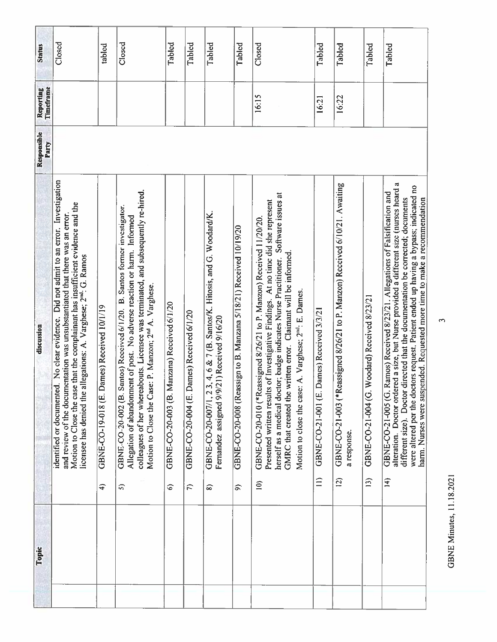| <b>Status</b>          | Closed                                                                                                                                                                                                                                                                                                                                   | tabled                                                      | Closed                                                                                                                                                                                                                                                                                                                         | Tabled                                           | Tabled                                          | Tabled                                                                                                                           | Tabled                                                                 | Closed                                                                                                                                                                                                                                                                                                                                                                                                     | Tabled                                                        | Tabled                                                                                                        | Tabled                                                            | Tabled                                                                                                                                                                                                                                                                                                                                                                                                                                                |
|------------------------|------------------------------------------------------------------------------------------------------------------------------------------------------------------------------------------------------------------------------------------------------------------------------------------------------------------------------------------|-------------------------------------------------------------|--------------------------------------------------------------------------------------------------------------------------------------------------------------------------------------------------------------------------------------------------------------------------------------------------------------------------------|--------------------------------------------------|-------------------------------------------------|----------------------------------------------------------------------------------------------------------------------------------|------------------------------------------------------------------------|------------------------------------------------------------------------------------------------------------------------------------------------------------------------------------------------------------------------------------------------------------------------------------------------------------------------------------------------------------------------------------------------------------|---------------------------------------------------------------|---------------------------------------------------------------------------------------------------------------|-------------------------------------------------------------------|-------------------------------------------------------------------------------------------------------------------------------------------------------------------------------------------------------------------------------------------------------------------------------------------------------------------------------------------------------------------------------------------------------------------------------------------------------|
| Reporting<br>Timeframe |                                                                                                                                                                                                                                                                                                                                          |                                                             |                                                                                                                                                                                                                                                                                                                                |                                                  |                                                 |                                                                                                                                  |                                                                        | 16:15                                                                                                                                                                                                                                                                                                                                                                                                      | 16:21                                                         | 16:22                                                                                                         |                                                                   |                                                                                                                                                                                                                                                                                                                                                                                                                                                       |
| Responsible<br>Party   |                                                                                                                                                                                                                                                                                                                                          |                                                             |                                                                                                                                                                                                                                                                                                                                |                                                  |                                                 |                                                                                                                                  |                                                                        |                                                                                                                                                                                                                                                                                                                                                                                                            |                                                               |                                                                                                               |                                                                   |                                                                                                                                                                                                                                                                                                                                                                                                                                                       |
| discussion             | identified or documented. No clear evidence. Did not admit to an error. Investigation<br>Motion to Close the case that the complainant has insufficient evidence and the<br>and review of the documentation was unsubstantiated that there was an error.<br>licensee has denied the allegations: A. Varghese; 2 <sup>nd</sup> : G. Ramos | GBNE-CO-19-018 (E. Dames) Received 10/1/19<br>$\widehat{+}$ | colleagues of her whereabouts. Licensee was terminated, and subsequently re-hired.<br>GBNE-CO-20-002 (B. Santos) Received 6/1/20. B. Santos former investigator.<br>Allegation of abandonment of post. No adverse reaction or harm. Informed<br>Motion to Close the Case: P. Manzon; 2 <sup>nd</sup> A. Varghese.<br>$\hat{5}$ | GBNE-CO-20-003 (B. Manzana) Received 6/1/20<br>ଚ | GBNE-CO-20-004 (E. Dames) Received 6/1/20<br>L) | 3, 4, 6 & 7 (B. Santos/K. Hitosis, and G. Woodard/K.<br>Fernandez assigned 9/9/21) Received 9/16/20<br>GBNE-CO-20-007/1, 2<br>వి | GBNE-CO-20-008 (Reassign to B. Manzana 5/18/21) Received 10/19/20<br>ର | herself as a medical doctor; badge indicates Nurse Practitioner. Software issues at<br>Presented written results of Investigative Findings. At no time did she represent<br>GBNE-CO-20-010 (*Reassigned 8/26/21 to P. Manzon) Received 11/20/20.<br>GMRC that created the written error. Claimant will be informed.<br>Motion to close the case: A. Varghese; 2 <sup>nd</sup> : E. Dames.<br>$\widehat{=}$ | Dames) Received 3/3/21<br>GBNE-CO-21-001 (E.<br>$\widehat{=}$ | GBNE-CO-21-003 (*Reassigned 8/26/21 to P. Manzon) Received 6/10/21. Awaiting<br>a response.<br>$\overline{2}$ | Woodard) Received 8/23/21<br>GBNE-CO-21-004 (G.<br>$\widehat{13}$ | alteration. Doctor ordered a size, but Nurse provided a different size (nurses heard a<br>were altered per the doctors request. Patient ended up having a bypass; indicated no<br>Ramos) Received 8/23/21. Allegations of Falsification and<br>different size). Doctor directed that the documentation be corrected; documents<br>harm. Nurses were suspended. Requested more time to make a recommendation<br>GBNE-CO-21-005 (G.<br>$\left(4\right)$ |
| Topic                  |                                                                                                                                                                                                                                                                                                                                          |                                                             |                                                                                                                                                                                                                                                                                                                                |                                                  |                                                 |                                                                                                                                  |                                                                        |                                                                                                                                                                                                                                                                                                                                                                                                            |                                                               |                                                                                                               |                                                                   |                                                                                                                                                                                                                                                                                                                                                                                                                                                       |

**GBNE Minutes, 11.18.2021** GBNE Minutes, 11.15.2021

 $\tilde{3}$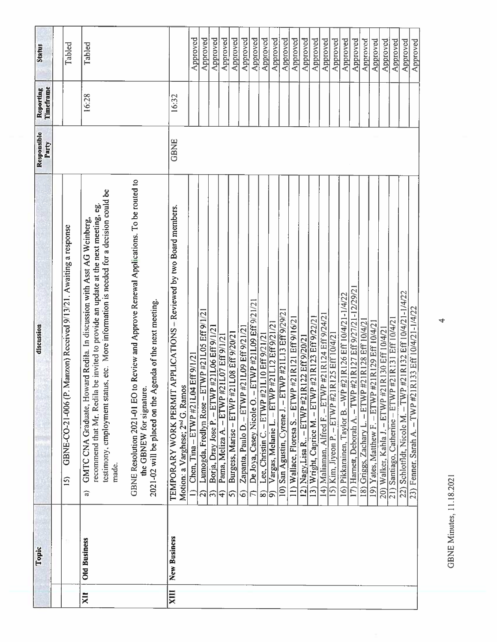| Status                 | Tabled                                                                                | Tabled                                                                                                                                                                                                                                                             |                                                                                                                                                                                    |                                                                                                                    | Approved                            | Approved                                            | Approved                                          | Approved                                      | Approved                                       | Approved                                           | Approved                                                                 | Approved                                                             | Approved                                          | Approved                                             | Approved                                           | Approved                                    | Approved                                          | Approved                                              | Approved                                                         | Approved                                                   | Approved                                                      | Approved                                            | Approved                                                | Approved                                        | Approved                                           | Approved                                                   | Approved                                                  |
|------------------------|---------------------------------------------------------------------------------------|--------------------------------------------------------------------------------------------------------------------------------------------------------------------------------------------------------------------------------------------------------------------|------------------------------------------------------------------------------------------------------------------------------------------------------------------------------------|--------------------------------------------------------------------------------------------------------------------|-------------------------------------|-----------------------------------------------------|---------------------------------------------------|-----------------------------------------------|------------------------------------------------|----------------------------------------------------|--------------------------------------------------------------------------|----------------------------------------------------------------------|---------------------------------------------------|------------------------------------------------------|----------------------------------------------------|---------------------------------------------|---------------------------------------------------|-------------------------------------------------------|------------------------------------------------------------------|------------------------------------------------------------|---------------------------------------------------------------|-----------------------------------------------------|---------------------------------------------------------|-------------------------------------------------|----------------------------------------------------|------------------------------------------------------------|-----------------------------------------------------------|
| Timeframe<br>Reporting |                                                                                       | 16:28                                                                                                                                                                                                                                                              |                                                                                                                                                                                    | 16:32                                                                                                              |                                     |                                                     |                                                   |                                               |                                                |                                                    |                                                                          |                                                                      |                                                   |                                                      |                                                    |                                             |                                                   |                                                       |                                                                  |                                                            |                                                               |                                                     |                                                         |                                                 |                                                    |                                                            |                                                           |
| Responsible<br>Party   |                                                                                       |                                                                                                                                                                                                                                                                    |                                                                                                                                                                                    | GBNE                                                                                                               |                                     |                                                     |                                                   |                                               |                                                |                                                    |                                                                          |                                                                      |                                                   |                                                      |                                                    |                                             |                                                   |                                                       |                                                                  |                                                            |                                                               |                                                     |                                                         |                                                 |                                                    |                                                            |                                                           |
| discussion             | Manzon) Received 9/13/21. Awaiting a response<br>GBNE-CO-21-006 (P.<br>$\overline{5}$ | testimony, employment status, etc. More information is needed for a decision could be<br>recommend that Mr. Redila be invited to provide an update at the next meeting, eg<br>GMTC CNA Graduate, Howard Redila. In discussion with Asst AG Weinberg,<br>made.<br>କ | to Review and Approve Renewal Applications. To be routed to<br>2021-02 will be placed on the Agenda of the next meeting.<br>the GBNEW for signature.<br>GBNE Resolution 2021-01 EO | TEMPORARY WORK PERMIT APPLICATIONS - Reviewed by two Board members<br>Motion: a Varghese; 2 <sup>nd</sup> G. Ramos | Chen, Tina - ETWP #21L04 Eff 9/1/21 | Lumogda, Fredlyn Rose - ETWP #21L05 Eff 9/1/21<br>ନ | Borja, Dray Jose P. - ETWP #21L06 Eff 9/1/21<br>ၮ | Pama, Meliza A. - ETWP #21L07 Eff 9/1/21<br>╤ | Burgess, Marise - ETWP #21L08 Eff 9/20/21<br>ଜ | #21L09 Eff 9/21/2<br>Zapanta, Paulo D. - ETWP<br>ତ | ETWP #21L09 Eff 9/21/21<br>De Joya, Casey Nicole O. -<br>$\widehat{\pi}$ | 1L10 Eff 9/21/21<br>Lee, Christin C. - ETWP #2<br>$\widehat{\infty}$ | Vargas, Melanie L. - ETWP #21L12 Eff 9/21/21<br>ெ | 10) San Agustin, Cyrene J. - ETWP #21L13 Eff 9/29/21 | 11) Wallace, Floresa S. - ETWP #21R121 Eff 9/16/21 | 12) Nagy, Lisa R - ETWP #21R122 Eff 9/20/21 | 13) Wright, Caprice M. - ETWP #21R123 Eff 9/22/21 | - ETWP #21R124 Eff 9/24/21<br>14) Maliaman, Alfred F. | R125 Eff 10/4/2<br>Kim, Jiyeon P. -- ETWP #21<br>$\overline{15}$ | 16) Pikkarainen, Taylor B. - WP #21R126 Eff 10/4/21-1/4/22 | #21R127 Eff 9/27/21-12/29/21<br>17) Harnett, Deborah A. - TWP | #21R128 Eff 10/4/2<br>18) Griggs, Zachary L. – ETWP | $-$ ETWP #21R129 Eff 10/4/21<br>Yates, Matthew F.<br>19 | 20) Walker, Kahla J. - ETWP #21R130 Eff 10/4/21 | 21) Santiago, Catherine - ETWP #21R131 Eff 10/4/21 | 22) Schlotfldt, Nicole M. - TWP #21R132 Eff 10/4/21-1/4/22 | R133 Eff 10/4/21-1/4/22<br>23) Fenner, Sarah A. - TWP #21 |
| Topic                  |                                                                                       | <b>Old Business</b>                                                                                                                                                                                                                                                |                                                                                                                                                                                    | New Business                                                                                                       |                                     |                                                     |                                                   |                                               |                                                |                                                    |                                                                          |                                                                      |                                                   |                                                      |                                                    |                                             |                                                   |                                                       |                                                                  |                                                            |                                                               |                                                     |                                                         |                                                 |                                                    |                                                            |                                                           |
|                        |                                                                                       | χij                                                                                                                                                                                                                                                                |                                                                                                                                                                                    | XIII                                                                                                               |                                     |                                                     |                                                   |                                               |                                                |                                                    |                                                                          |                                                                      |                                                   |                                                      |                                                    |                                             |                                                   |                                                       |                                                                  |                                                            |                                                               |                                                     |                                                         |                                                 |                                                    |                                                            |                                                           |

**GBNE Minutes, 11.18.2021** GBNE Minutes, 11.18.2021

4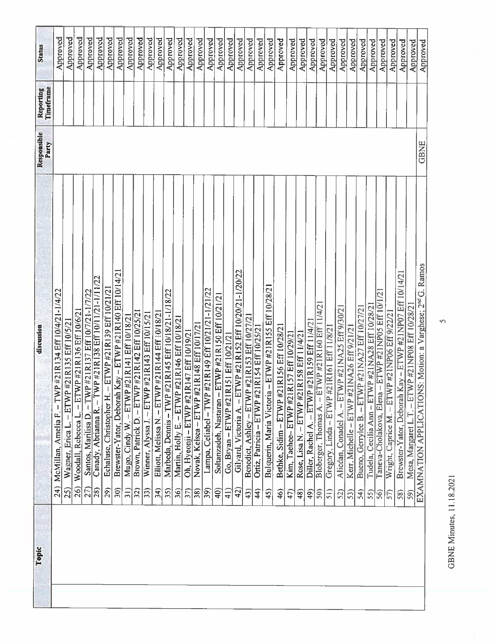| Status                 | Approved                                                        | Approved                                              | Approved                                                  | Approved                                                       | Approved                                                           | Approved                                                                  | Approved                                                                      | Approved                                                       | Approved                                                         | Approved                                                            | Approved                                               | Approved                                                  | Approved                                               | Approved                                                       | Approved                                         | Approved                                                              | Approved                                                                       | Approved                                                    | Approved                                                                       | Approved                                                      | Approved                                                      | Approved                                                                     | Approved                                                    | Approved                                       | Approved                                        | Approved                                                          | Approved                                              | Approved                                                   | Approved                                                          | Approved                                                     | Approved                                                         | Approved                                              | Approved                                                                   | Approved                                                          | Approved                                                          | Approved                                                 | Approved                                                              |
|------------------------|-----------------------------------------------------------------|-------------------------------------------------------|-----------------------------------------------------------|----------------------------------------------------------------|--------------------------------------------------------------------|---------------------------------------------------------------------------|-------------------------------------------------------------------------------|----------------------------------------------------------------|------------------------------------------------------------------|---------------------------------------------------------------------|--------------------------------------------------------|-----------------------------------------------------------|--------------------------------------------------------|----------------------------------------------------------------|--------------------------------------------------|-----------------------------------------------------------------------|--------------------------------------------------------------------------------|-------------------------------------------------------------|--------------------------------------------------------------------------------|---------------------------------------------------------------|---------------------------------------------------------------|------------------------------------------------------------------------------|-------------------------------------------------------------|------------------------------------------------|-------------------------------------------------|-------------------------------------------------------------------|-------------------------------------------------------|------------------------------------------------------------|-------------------------------------------------------------------|--------------------------------------------------------------|------------------------------------------------------------------|-------------------------------------------------------|----------------------------------------------------------------------------|-------------------------------------------------------------------|-------------------------------------------------------------------|----------------------------------------------------------|-----------------------------------------------------------------------|
| Timeframe<br>Reporting |                                                                 |                                                       |                                                           |                                                                |                                                                    |                                                                           |                                                                               |                                                                |                                                                  |                                                                     |                                                        |                                                           |                                                        |                                                                |                                                  |                                                                       |                                                                                |                                                             |                                                                                |                                                               |                                                               |                                                                              |                                                             |                                                |                                                 |                                                                   |                                                       |                                                            |                                                                   |                                                              |                                                                  |                                                       |                                                                            |                                                                   |                                                                   |                                                          |                                                                       |
| Responsible<br>Party   |                                                                 |                                                       |                                                           |                                                                |                                                                    |                                                                           |                                                                               |                                                                |                                                                  |                                                                     |                                                        |                                                           |                                                        |                                                                |                                                  |                                                                       |                                                                                |                                                             |                                                                                |                                                               |                                                               |                                                                              |                                                             |                                                |                                                 |                                                                   |                                                       |                                                            |                                                                   |                                                              |                                                                  |                                                       |                                                                            |                                                                   |                                                                   |                                                          | <b>GBNE</b>                                                           |
| discussion             | $-TWP$ #21R134 Eff 10/4/21-1/4/22<br>McMillan, Amelia F.<br>24) | #21R135 Eff 10/5/21<br>Wagner, Erica L. - ETWP<br>25) | WP #21R136 Eff 10/6/21<br>Woodall, Rebecca L. - ET<br>26) | P#21R137 Eff 10/7/21-1/7/22<br>Santos, Marilisa D. - TW<br>27) | WP #21R138 Eff 10/11/21-1/11/22<br>Canady, Abrianna R. - T<br>(82) | - ETWP #21R139 Eff 10/21/21<br>Echaluse, Christopher H.<br>$\frac{29}{2}$ | Kay - ETWP #21R140 Eff 10/14/21<br>Brewster-Yator, Deborah<br>$\overline{30}$ | $-ETWP$ #21R141 Eff 10/18/21<br>Mugo, Cindy W<br>$\widehat{5}$ | Brown, Patrick D. - ETWP #21R142 Eff 10/25/21<br>$\overline{32}$ | P#21R143 Eff 10/15/21<br>Winner, Alyssa J. - ETW<br>$\overline{33}$ | Elliott, Melissa N. - ETWP #21R144 Eff 10/18/21<br>34) | Marbeda, Dennis - TWP #21R145 Eff 10/18/21-1/18/22<br>35) | #21R146 Eff 10/18/21<br>Martin, Holly E. - ETWP<br>36) | R147 Eff 10/19/21<br>Oh, Hyeonii – ETWP #21<br>$\overline{37}$ | Novak, Kelsea - ETWP #21R148 Eff 10/17/21<br>38) | Lampa, Celiabel - TWP #21R149 Eff 10/21/21-1/21/22<br>$\overline{39}$ | ETWP #21R150 Eff 10/21/21<br>Soltanzadeh, Nastaran -<br>$\widehat{\mathsf{G}}$ | R151 Eff 10/21/21<br>Go, Bryan - ETWP #211<br>$\frac{1}{4}$ | - ETWP #21R152 Eff 10/20/21-1/20/22<br>Gilyard, Victoria A.<br>$\widetilde{d}$ | Benedict, Ashley - ETWP #21R153 Eff 10/27/21<br>$\widehat{a}$ | Ortiz, Patricia - ETWP #21R154 Eff 10/25/21<br>$\overline{4}$ | $-$ ETWP #21R155 Eff 10/28/21<br>Bulquerin, Maria Victoria<br>$\widehat{45}$ | Bethke, Sidim - ETWP #21R156 Eff 10/28/21<br>$\widehat{46}$ | R157 Eff 10/29/21<br>Kim, Tachee-ETWP #21<br>5 | Rose, Lisa N. - ETWP #21R158 Eff 11/4/21<br>48) | #21R159 Eff 11/4/2<br>Diller, Rachel A. - ETWP<br>$\overline{49}$ | Bloberger, Thomas A. - ETWP #21R160 Eff 11/4/2<br>50) | Gregory, Linda - ETWP #21R161 Eff 11/8/21<br>$\widehat{5}$ | Alicdan, Conadel A. - ETWP #21NA25 Eff 9/30/21<br>$\overline{52}$ | Kerr, Michelle – ETWP #21NA26 Eff 9/21/21<br>$\overline{53}$ | Bueno, Gerrylee B. - ETWP #21NA27 Eff 10/27/21<br>$\mathfrak{F}$ | Tudela, Cecilia Ann - ETWP #21NA28 Eff 10/28/2<br>55) | $-$ ETWP #21NP05 Eff 10/1/21<br>Taneva-Cholakova, Elena<br>$\overline{56}$ | $-$ ETWP #2 INP06 Eff 9/22/21<br>Wright, Caprice M.<br>$\sqrt{5}$ | Kay – ETWP #21NP07 Eff 10/14/21<br>Brewster-Yator, Deborah<br>58) | WP#21NP08 Eff 10/28/2<br>Mesa, Margaret L.T. - ET<br>59) | EXAMNATION APPLICATIONS: Motion: a Varghese; 2 <sup>nd</sup> G. Ramos |
| Topic                  |                                                                 |                                                       |                                                           |                                                                |                                                                    |                                                                           |                                                                               |                                                                |                                                                  |                                                                     |                                                        |                                                           |                                                        |                                                                |                                                  |                                                                       |                                                                                |                                                             |                                                                                |                                                               |                                                               |                                                                              |                                                             |                                                |                                                 |                                                                   |                                                       |                                                            |                                                                   |                                                              |                                                                  |                                                       |                                                                            |                                                                   |                                                                   |                                                          |                                                                       |

**GBNE Minutes, 11.18.2021** GBNE Minutes, 11.18.202 I

 $\overline{5}$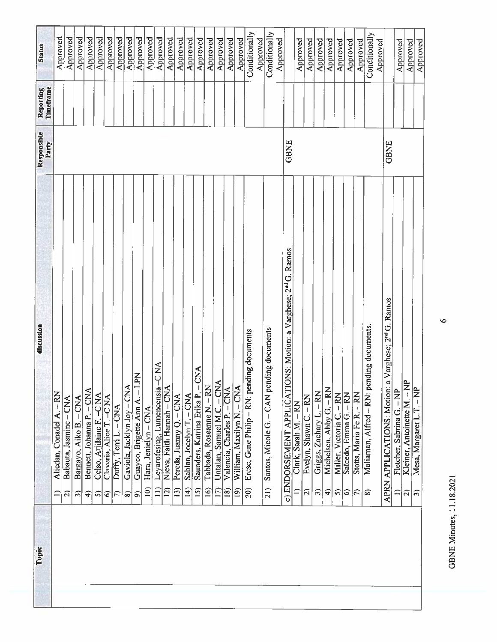| Topic | discussion                                                                      | Responsible<br>Party | Timeframe<br>Reporting | Status        |
|-------|---------------------------------------------------------------------------------|----------------------|------------------------|---------------|
|       | Alicdan, Conadel A. - RN<br>≘                                                   |                      |                        | Approved      |
|       | Babauta, Jasmine - CNA<br>a                                                     |                      |                        | Approved      |
|       | Bargayo, Aiko B. - CNA<br>$\widehat{\bm{c}}$                                    |                      |                        | Approved      |
|       | ⋖<br>Bennett, Johanna P. - CN.<br>$\widehat{+}$                                 |                      |                        | Approved      |
|       | Celso, Arjilaine F. - C NA<br>ၵ                                                 |                      |                        | Approved      |
|       | Claveria, Alice T. - CNA<br>6                                                   |                      |                        | Approved      |
|       | Duffy, Terri L. - CNA<br>$\widehat{\pi}$                                        |                      |                        | Approved      |
|       | Gaviola, Jacklyn Joy - CNA<br>ၜ                                                 |                      |                        | Approved      |
|       | Guayco, Brigette Ann A. - LPN<br>$\widehat{\mathcal{L}}$                        |                      |                        | Approved      |
|       | Hara, Jenielyn – CNA<br>$\widehat{=}$                                           |                      |                        | Approved      |
|       | Leyarofesiug, Lumencensia-C NA<br>$\widehat{=}$                                 |                      |                        | Approved      |
|       | ₹<br>Nieva, Faith Hannah - CN<br>$\widehat{2}$                                  |                      |                        | Approved      |
|       | Pereda, Juanny Q. - CNA<br>$\overline{13}$                                      |                      |                        | Approved      |
|       | Sablan, Jocelyn T. - CNA<br>14)                                                 |                      |                        | Approved      |
|       | X<br>Saunders, Katrina Erika P.<br>$\overline{15}$                              |                      |                        | Approved      |
|       | Tabbada, Roseanne N. - RN<br>16)                                                |                      |                        | Approved      |
|       | Untalan, Samuel M.C. - CNA<br>$\Xi$                                             |                      |                        | Approved      |
|       | Valencia, Charles P. - CNA<br>$\overline{18}$                                   |                      |                        | Approved      |
|       | William, Maxilyn N. - CNA<br>(61)                                               |                      |                        | Approved      |
|       | Erese, Gene Philip - RN: pending documents<br>$\widehat{20}$                    |                      |                        | Conditionally |
|       |                                                                                 |                      |                        | Approved      |
|       | pending documents<br>Santos, Micole G. - CAN<br>21)                             |                      |                        | Conditionally |
|       | TIONS: Motion: a Varghese; 2 <sup>nd</sup> G. Ramos<br>ENDORSEMENT APPLICA<br>ಾ | GBNE                 |                        | Approved      |
|       | Clark, Sarah M. - RN<br>≘                                                       |                      |                        | Approved      |
|       | Evelyn, Shawn C. - RN<br>2)                                                     |                      |                        | Approved      |
|       | Griggs, Zachary L. - RN<br>$\widehat{\phantom{a}}$                              |                      |                        | Approved      |
|       | Michelsen, Abby G. - RN<br>$\widehat{+}$                                        |                      |                        | Approved      |
|       | Miller, Victoria C. - RN<br>ၵ                                                   |                      |                        | Approved      |
|       | Salcedo, Emma G. - RN<br>6                                                      |                      |                        | Approved      |
|       | Stotts, Maria Fe R. - RN<br>$ \widehat{\leftarrow}$                             |                      |                        | Approved      |
|       | pending documents.<br>Maliaman, Alfred - RN:<br>ଛ                               |                      |                        | Conditionally |
|       |                                                                                 |                      |                        | Approved      |
|       | APRN APPLICATIONS: Motion: a Varghese; 2 <sup>nd</sup> G. Ramos                 | <b>GBNE</b>          |                        |               |
|       | $\Delta$<br>Fletcher, Sabrina G. - Ni<br>≘                                      |                      |                        | Approved      |
|       | Kleiner, Antoinette M. - NP<br>$\widehat{\mathcal{L}}$                          |                      |                        | Approved      |
|       | Mesa, Margaret L.T. - NP<br>$ \widehat{\pi} $                                   |                      |                        | Approved      |
|       |                                                                                 |                      |                        |               |

**GBNE Minutes, 11.18.2021** GBXE Minutes, 11.18.2021

 $\bullet$